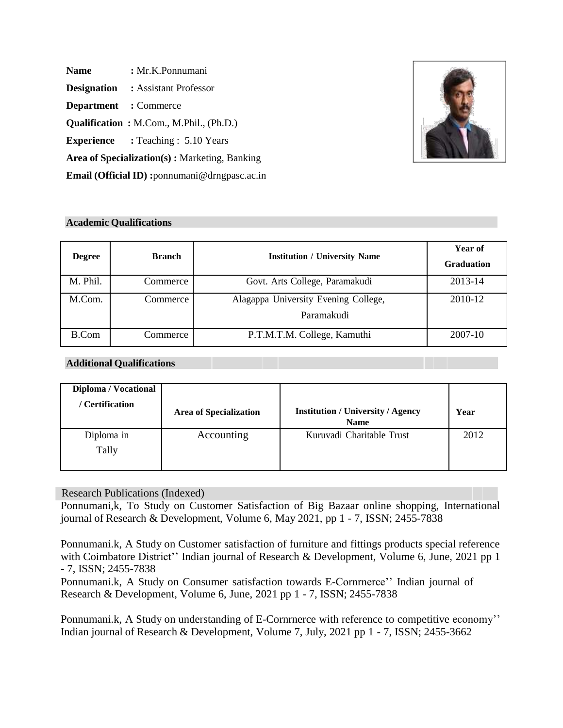Name : Mr.K.Ponnumani **Designation :** Assistant Professor **Department :** Commerce **Qualification :** M.Com., M.Phil., (Ph.D.) **Experience :** Teaching : 5.10 Years **Area of Specialization(s) :** Marketing, Banking

**Email (Official ID) :**[ponnumani@drngpasc.ac.in](mailto:ponnumani@drngpasc.ac.in)



## **Academic Qualifications**

| <b>Degree</b> | <b>Branch</b> | <b>Institution / University Name</b>               | Year of<br><b>Graduation</b> |
|---------------|---------------|----------------------------------------------------|------------------------------|
| M. Phil.      | Commerce      | Govt. Arts College, Paramakudi                     | 2013-14                      |
| M.Com.        | Commerce      | Alagappa University Evening College,<br>Paramakudi | 2010-12                      |
| B.Com         | Commerce      | P.T.M.T.M. College, Kamuthi                        | 2007-10                      |

## **Additional Qualifications**

| Diploma / Vocational<br>/ Certification | <b>Area of Specialization</b> | <b>Institution / University / Agency</b><br><b>Name</b> | Year |
|-----------------------------------------|-------------------------------|---------------------------------------------------------|------|
| Diploma in<br>Tally                     | Accounting                    | Kuruvadi Charitable Trust                               | 2012 |

## Research Publications (Indexed)

Ponnumani,k, To Study on Customer Satisfaction of Big Bazaar online shopping, International journal of Research & Development, Volume 6, May 2021, pp 1 - 7, ISSN; 2455-7838

Ponnumani.k, A Study on Customer satisfaction of furniture and fittings products special reference with Coimbatore District'' Indian journal of Research & Development, Volume 6, June, 2021 pp 1 - 7, ISSN; 2455-7838

Ponnumani.k, A Study on Consumer satisfaction towards E-Cornrnerce'' Indian journal of Research & Development, Volume 6, June, 2021 pp 1 - 7, ISSN; 2455-7838

Ponnumani.k, A Study on understanding of E-Cornrnerce with reference to competitive economy'' Indian journal of Research & Development, Volume 7, July, 2021 pp 1 - 7, ISSN; 2455-3662